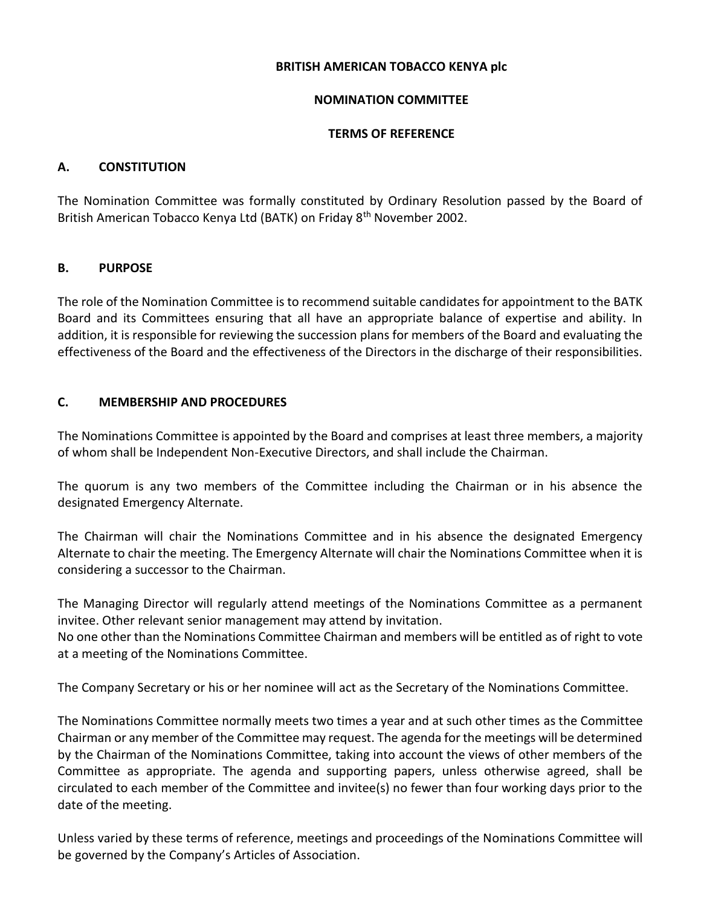## **BRITISH AMERICAN TOBACCO KENYA plc**

## **NOMINATION COMMITTEE**

## **TERMS OF REFERENCE**

# **A. CONSTITUTION**

The Nomination Committee was formally constituted by Ordinary Resolution passed by the Board of British American Tobacco Kenya Ltd (BATK) on Friday 8th November 2002.

# **B. PURPOSE**

The role of the Nomination Committee is to recommend suitable candidates for appointment to the BATK Board and its Committees ensuring that all have an appropriate balance of expertise and ability. In addition, it is responsible for reviewing the succession plans for members of the Board and evaluating the effectiveness of the Board and the effectiveness of the Directors in the discharge of their responsibilities.

# **C. MEMBERSHIP AND PROCEDURES**

The Nominations Committee is appointed by the Board and comprises at least three members, a majority of whom shall be Independent Non-Executive Directors, and shall include the Chairman.

The quorum is any two members of the Committee including the Chairman or in his absence the designated Emergency Alternate.

The Chairman will chair the Nominations Committee and in his absence the designated Emergency Alternate to chair the meeting. The Emergency Alternate will chair the Nominations Committee when it is considering a successor to the Chairman.

The Managing Director will regularly attend meetings of the Nominations Committee as a permanent invitee. Other relevant senior management may attend by invitation.

No one other than the Nominations Committee Chairman and members will be entitled as of right to vote at a meeting of the Nominations Committee.

The Company Secretary or his or her nominee will act as the Secretary of the Nominations Committee.

The Nominations Committee normally meets two times a year and at such other times as the Committee Chairman or any member of the Committee may request. The agenda for the meetings will be determined by the Chairman of the Nominations Committee, taking into account the views of other members of the Committee as appropriate. The agenda and supporting papers, unless otherwise agreed, shall be circulated to each member of the Committee and invitee(s) no fewer than four working days prior to the date of the meeting.

Unless varied by these terms of reference, meetings and proceedings of the Nominations Committee will be governed by the Company's Articles of Association.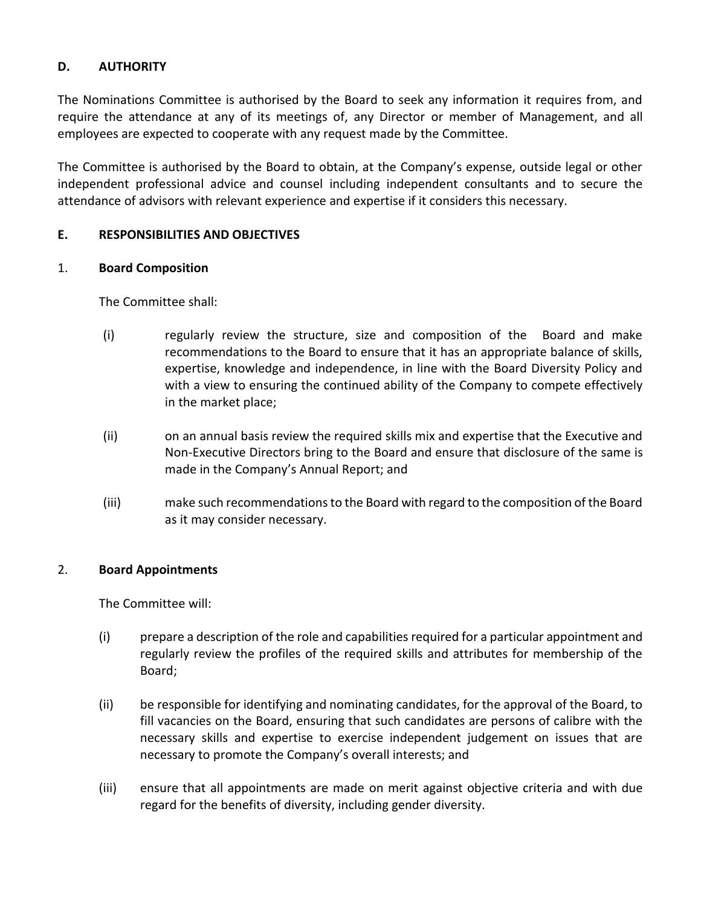# **D. AUTHORITY**

The Nominations Committee is authorised by the Board to seek any information it requires from, and require the attendance at any of its meetings of, any Director or member of Management, and all employees are expected to cooperate with any request made by the Committee.

The Committee is authorised by the Board to obtain, at the Company's expense, outside legal or other independent professional advice and counsel including independent consultants and to secure the attendance of advisors with relevant experience and expertise if it considers this necessary.

## **E. RESPONSIBILITIES AND OBJECTIVES**

## 1. **Board Composition**

The Committee shall:

- (i) regularly review the structure, size and composition of the Board and make recommendations to the Board to ensure that it has an appropriate balance of skills, expertise, knowledge and independence, in line with the Board Diversity Policy and with a view to ensuring the continued ability of the Company to compete effectively in the market place;
- (ii) on an annual basis review the required skills mix and expertise that the Executive and Non-Executive Directors bring to the Board and ensure that disclosure of the same is made in the Company's Annual Report; and
- (iii) make such recommendations to the Board with regard to the composition of the Board as it may consider necessary.

## 2. **Board Appointments**

The Committee will:

- (i) prepare a description of the role and capabilities required for a particular appointment and regularly review the profiles of the required skills and attributes for membership of the Board;
- (ii) be responsible for identifying and nominating candidates, for the approval of the Board, to fill vacancies on the Board, ensuring that such candidates are persons of calibre with the necessary skills and expertise to exercise independent judgement on issues that are necessary to promote the Company's overall interests; and
- (iii) ensure that all appointments are made on merit against objective criteria and with due regard for the benefits of diversity, including gender diversity.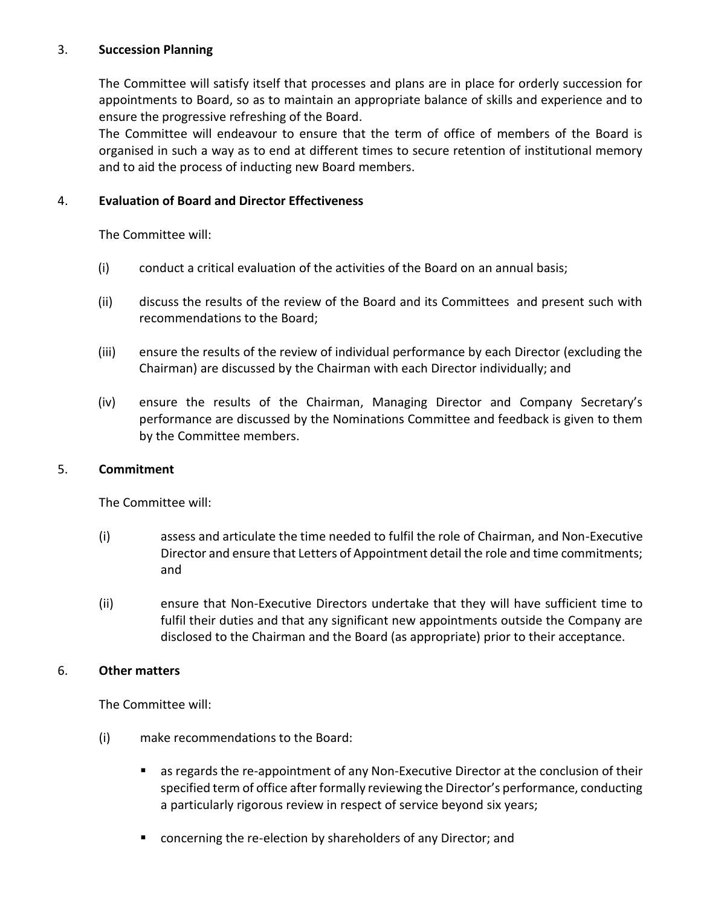# 3. **Succession Planning**

The Committee will satisfy itself that processes and plans are in place for orderly succession for appointments to Board, so as to maintain an appropriate balance of skills and experience and to ensure the progressive refreshing of the Board.

The Committee will endeavour to ensure that the term of office of members of the Board is organised in such a way as to end at different times to secure retention of institutional memory and to aid the process of inducting new Board members.

# 4. **Evaluation of Board and Director Effectiveness**

The Committee will:

- (i) conduct a critical evaluation of the activities of the Board on an annual basis;
- (ii) discuss the results of the review of the Board and its Committees and present such with recommendations to the Board;
- (iii) ensure the results of the review of individual performance by each Director (excluding the Chairman) are discussed by the Chairman with each Director individually; and
- (iv) ensure the results of the Chairman, Managing Director and Company Secretary's performance are discussed by the Nominations Committee and feedback is given to them by the Committee members.

## 5. **Commitment**

The Committee will:

- (i) assess and articulate the time needed to fulfil the role of Chairman, and Non-Executive Director and ensure that Letters of Appointment detail the role and time commitments; and
- (ii) ensure that Non-Executive Directors undertake that they will have sufficient time to fulfil their duties and that any significant new appointments outside the Company are disclosed to the Chairman and the Board (as appropriate) prior to their acceptance.

## 6. **Other matters**

The Committee will:

- (i) make recommendations to the Board:
	- as regards the re-appointment of any Non-Executive Director at the conclusion of their specified term of office after formally reviewing the Director's performance, conducting a particularly rigorous review in respect of service beyond six years;
	- concerning the re-election by shareholders of any Director; and